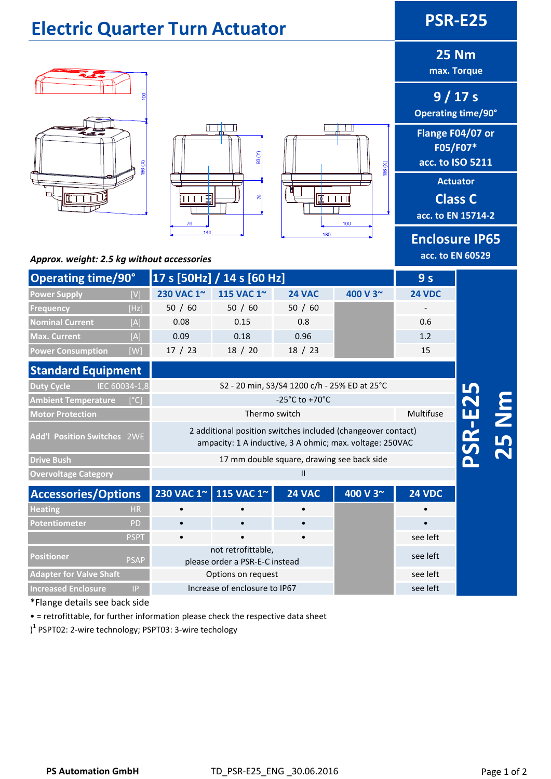## **Electric Quarter Turn Actuator PSR‐E25**

# $\sqrt{1+1}$





**25 Nm**

**max. Torque**

**9 / 17 s Operating time/90°**

**Flange F04/07 or F05/F07\* acc. to ISO 5211**

**Actuator**

**Class C**

**acc. to EN 15714‐2**

**Enclosure IP65 acc. to EN 60529**

#### *Approx. weight: 2.5 kg without accessories*

| <b>Operating time/90°</b> |      | [17 s [50Hz] / 14 s [60 Hz] | 9 <sub>s</sub> |               |          |               |
|---------------------------|------|-----------------------------|----------------|---------------|----------|---------------|
| <b>Power Supply</b>       | [V]  | 230 VAC 1~                  | 115 VAC 1~     | <b>24 VAC</b> | 400 V 3~ | <b>24 VDC</b> |
| Frequency                 | [Hz] | 50 / 60                     | 50 / 60        | 50 / 60       |          |               |
| <b>Nominal Current</b>    | [A]  | 0.08                        | 0.15           | 0.8           |          | 0.6           |
| <b>Max. Current</b>       | [A]  | 0.09                        | 0.18           | 0.96          |          | 1.2           |
| <b>Power Consumption</b>  | [W]  | 17/23                       | 18 / 20        | 18 / 23       |          | 15            |

| <b>Standard Equipment</b>                          |                                                                                                                          |                                      |
|----------------------------------------------------|--------------------------------------------------------------------------------------------------------------------------|--------------------------------------|
| IEC 60034-1,8<br><b>Duty Cycle</b>                 | S2 - 20 min, S3/S4 1200 c/h - 25% ED at 25°C                                                                             |                                      |
| <b>Ambient Temperature</b><br>$\sqrt{[\text{°C}]}$ | $-25^{\circ}$ C to $+70^{\circ}$ C                                                                                       |                                      |
| <b>Motor Protection</b>                            | Thermo switch                                                                                                            | Multifuse                            |
| <b>Add'l Position Switches 2WE</b>                 | 2 additional position switches included (changeover contact)<br>ampacity: 1 A inductive, 3 A ohmic; max. voltage: 250VAC | <b>PZ</b><br>$\overline{\mathbf{S}}$ |
| <b>Drive Bush</b>                                  | 17 mm double square, drawing see back side                                                                               |                                      |
| <b>Overvoltage Category</b>                        | Ш                                                                                                                        |                                      |

| <b>Accessories/Options</b>     |             |                                                      | 230 VAC 1~ 115 VAC 1~ | <b>24 VAC</b> | 400 V 3~ | <b>24 VDC</b> |
|--------------------------------|-------------|------------------------------------------------------|-----------------------|---------------|----------|---------------|
| <b>Heating</b>                 | HR.         |                                                      |                       |               |          |               |
| Potentiometer                  | <b>PD</b>   |                                                      |                       |               |          |               |
|                                | <b>PSPT</b> |                                                      | $\bullet$             | $\bullet$     |          | see left      |
| <b>Positioner</b>              | <b>PSAP</b> | not retrofittable,<br>please order a PSR-E-C instead |                       |               |          | see left      |
| <b>Adapter for Valve Shaft</b> |             | Options on request                                   |                       |               |          | see left      |
| <b>Increased Enclosure</b>     | IP.         | Increase of enclosure to IP67                        |                       |               |          | see left      |

\*Flange details see back side

• = retrofittable, for further information please check the respective data sheet

) <sup>1</sup> PSPT02: 2‐wire technology; PSPT03: 3‐wire techology

**25 Nm**